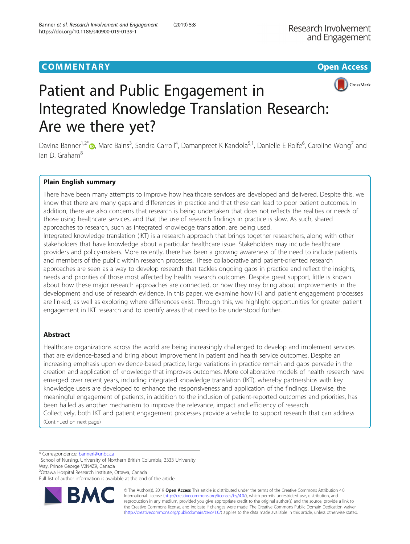# **COMMENTARY COMMENTARY Open Access**





# Patient and Public Engagement in Integrated Knowledge Translation Research: Are we there yet?

Davina Banner<sup>1,2[\\*](http://orcid.org/0000-0001-7926-5922)</sup>®, Marc Bains<sup>3</sup>, Sandra Carroll<sup>4</sup>, Damanpreet K Kandola<sup>5,1</sup>, Danielle E Rolfe<sup>6</sup>, Caroline Wong<sup>7</sup> and Ian D. Graham $8$ 

# Plain English summary

There have been many attempts to improve how healthcare services are developed and delivered. Despite this, we know that there are many gaps and differences in practice and that these can lead to poor patient outcomes. In addition, there are also concerns that research is being undertaken that does not reflects the realities or needs of those using healthcare services, and that the use of research findings in practice is slow. As such, shared approaches to research, such as integrated knowledge translation, are being used.

Integrated knowledge translation (IKT) is a research approach that brings together researchers, along with other stakeholders that have knowledge about a particular healthcare issue. Stakeholders may include healthcare providers and policy-makers. More recently, there has been a growing awareness of the need to include patients and members of the public within research processes. These collaborative and patient-oriented research approaches are seen as a way to develop research that tackles ongoing gaps in practice and reflect the insights, needs and priorities of those most affected by health research outcomes. Despite great support, little is known about how these major research approaches are connected, or how they may bring about improvements in the development and use of research evidence. In this paper, we examine how IKT and patient engagement processes are linked, as well as exploring where differences exist. Through this, we highlight opportunities for greater patient engagement in IKT research and to identify areas that need to be understood further.

# Abstract

Healthcare organizations across the world are being increasingly challenged to develop and implement services that are evidence-based and bring about improvement in patient and health service outcomes. Despite an increasing emphasis upon evidence-based practice, large variations in practice remain and gaps pervade in the creation and application of knowledge that improves outcomes. More collaborative models of health research have emerged over recent years, including integrated knowledge translation (IKT), whereby partnerships with key knowledge users are developed to enhance the responsiveness and application of the findings. Likewise, the meaningful engagement of patients, in addition to the inclusion of patient-reported outcomes and priorities, has been hailed as another mechanism to improve the relevance, impact and efficiency of research. Collectively, both IKT and patient engagement processes provide a vehicle to support research that can address (Continued on next page)

\* Correspondence: [bannerl@unbc.ca](mailto:bannerl@unbc.ca) <sup>1</sup>

<sup>1</sup>School of Nursing, University of Northern British Columbia, 3333 University Way, Prince George V2N4Z9, Canada

2 Ottawa Hospital Research Institute, Ottawa, Canada

Full list of author information is available at the end of the article



© The Author(s). 2019 Open Access This article is distributed under the terms of the Creative Commons Attribution 4.0 International License [\(http://creativecommons.org/licenses/by/4.0/](http://creativecommons.org/licenses/by/4.0/)), which permits unrestricted use, distribution, and reproduction in any medium, provided you give appropriate credit to the original author(s) and the source, provide a link to the Creative Commons license, and indicate if changes were made. The Creative Commons Public Domain Dedication waiver [\(http://creativecommons.org/publicdomain/zero/1.0/](http://creativecommons.org/publicdomain/zero/1.0/)) applies to the data made available in this article, unless otherwise stated.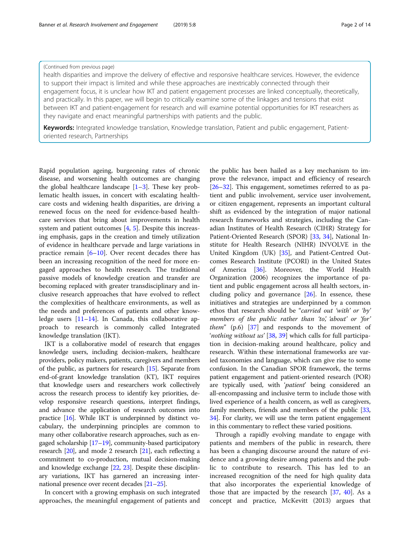# (Continued from previous page)

health disparities and improve the delivery of effective and responsive healthcare services. However, the evidence to support their impact is limited and while these approaches are inextricably connected through their engagement focus, it is unclear how IKT and patient engagement processes are linked conceptually, theoretically, and practically. In this paper, we will begin to critically examine some of the linkages and tensions that exist between IKT and patient-engagement for research and will examine potential opportunities for IKT researchers as they navigate and enact meaningful partnerships with patients and the public.

Keywords: Integrated knowledge translation, Knowledge translation, Patient and public engagement, Patientoriented research, Partnerships

Rapid population ageing, burgeoning rates of chronic disease, and worsening health outcomes are changing the global healthcare landscape [[1](#page-10-0)–[3\]](#page-10-0). These key problematic health issues, in concert with escalating healthcare costs and widening health disparities, are driving a renewed focus on the need for evidence-based healthcare services that bring about improvements in health system and patient outcomes [[4,](#page-10-0) [5\]](#page-10-0). Despite this increasing emphasis, gaps in the creation and timely utilization of evidence in healthcare pervade and large variations in practice remain  $[6–10]$  $[6–10]$  $[6–10]$  $[6–10]$  $[6–10]$ . Over recent decades there has been an increasing recognition of the need for more engaged approaches to health research. The traditional passive models of knowledge creation and transfer are becoming replaced with greater transdisciplinary and inclusive research approaches that have evolved to reflect the complexities of healthcare environments, as well as the needs and preferences of patients and other knowledge users [\[11](#page-11-0)–[14](#page-11-0)]. In Canada, this collaborative approach to research is commonly called Integrated knowledge translation (IKT).

IKT is a collaborative model of research that engages knowledge users, including decision-makers, healthcare providers, policy makers, patients, caregivers and members of the public, as partners for research [[15](#page-11-0)]. Separate from end-of-grant knowledge translation (KT), IKT requires that knowledge users and researchers work collectively across the research process to identify key priorities, develop responsive research questions, interpret findings, and advance the application of research outcomes into practice [\[16](#page-11-0)]. While IKT is underpinned by distinct vocabulary, the underpinning principles are common to many other collaborative research approaches, such as engaged scholarship [\[17](#page-11-0)–[19\]](#page-11-0), community-based participatory research [\[20\]](#page-11-0), and mode 2 research [\[21\]](#page-11-0), each reflecting a commitment to co-production, mutual decision-making and knowledge exchange [[22](#page-11-0), [23](#page-11-0)]. Despite these disciplinary variations, IKT has garnered an increasing international presence over recent decades [[21](#page-11-0)–[25](#page-11-0)].

In concert with a growing emphasis on such integrated approaches, the meaningful engagement of patients and

the public has been hailed as a key mechanism to improve the relevance, impact and efficiency of research [[26](#page-11-0)–[32](#page-11-0)]. This engagement, sometimes referred to as patient and public involvement, service user involvement, or citizen engagement, represents an important cultural shift as evidenced by the integration of major national research frameworks and strategies, including the Canadian Institutes of Health Research (CIHR) Strategy for Patient-Oriented Research (SPOR) [[33,](#page-11-0) [34](#page-11-0)], National Institute for Health Research (NIHR) INVOLVE in the United Kingdom (UK) [[35\]](#page-11-0), and Patient-Centred Outcomes Research Institute (PCORI) in the United States of America [\[36\]](#page-11-0). Moreover, the World Health Organization (2006) recognizes the importance of patient and public engagement across all health sectors, including policy and governance [\[26\]](#page-11-0). In essence, these initiatives and strategies are underpinned by a common ethos that research should be "carried out 'with' or 'by' members of the public rather than 'to', 'about' or 'for' *them*" (p.6)  $[37]$  $[37]$  and responds to the movement of 'nothing without us' [\[38](#page-11-0), [39\]](#page-11-0) which calls for full participation in decision-making around healthcare, policy and research. Within these international frameworks are varied taxonomies and language, which can give rise to some confusion. In the Canadian SPOR framework, the terms patient engagement and patient-oriented research (POR) are typically used, with 'patient' being considered an all-encompassing and inclusive term to include those with lived experience of a health concern, as well as caregivers, family members, friends and members of the public [[33](#page-11-0), [34](#page-11-0)]. For clarity, we will use the term patient engagement in this commentary to reflect these varied positions.

Through a rapidly evolving mandate to engage with patients and members of the public in research, there has been a changing discourse around the nature of evidence and a growing desire among patients and the public to contribute to research. This has led to an increased recognition of the need for high quality data that also incorporates the experiential knowledge of those that are impacted by the research [[37,](#page-11-0) [40](#page-11-0)]. As a concept and practice, McKevitt (2013) argues that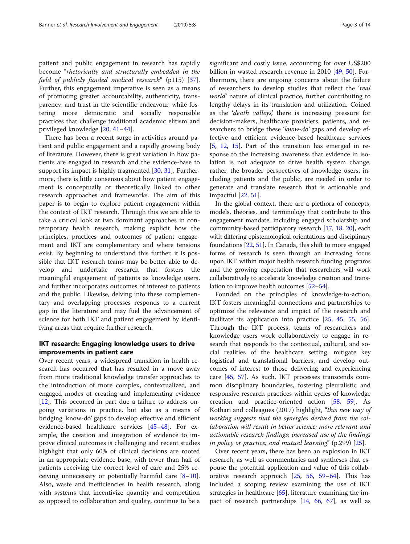patient and public engagement in research has rapidly become "rhetorically and structurally embedded in the field of publicly funded medical research" (p115) [\[37](#page-11-0)]. Further, this engagement imperative is seen as a means of promoting greater accountability, authenticity, transparency, and trust in the scientific endeavour, while fostering more democratic and socially responsible practices that challenge traditional academic elitism and privileged knowledge [\[20,](#page-11-0) [41](#page-11-0)–[44\]](#page-11-0).

There has been a recent surge in activities around patient and public engagement and a rapidly growing body of literature. However, there is great variation in how patients are engaged in research and the evidence-base to support its impact is highly fragmented [[30,](#page-11-0) [31](#page-11-0)]. Furthermore, there is little consensus about how patient engagement is conceptually or theoretically linked to other research approaches and frameworks. The aim of this paper is to begin to explore patient engagement within the context of IKT research. Through this we are able to take a critical look at two dominant approaches in contemporary health research, making explicit how the principles, practices and outcomes of patient engagement and IKT are complementary and where tensions exist. By beginning to understand this further, it is possible that IKT research teams may be better able to develop and undertake research that fosters the meaningful engagement of patients as knowledge users, and further incorporates outcomes of interest to patients and the public. Likewise, delving into these complementary and overlapping processes responds to a current gap in the literature and may fuel the advancement of science for both IKT and patient engagement by identifying areas that require further research.

# IKT research: Engaging knowledge users to drive improvements in patient care

Over recent years, a widespread transition in health research has occurred that has resulted in a move away from more traditional knowledge transfer approaches to the introduction of more complex, contextualized, and engaged modes of creating and implementing evidence [[12\]](#page-11-0). This occurred in part due a failure to address ongoing variations in practice, but also as a means of bridging 'know-do' gaps to develop effective and efficient evidence-based healthcare services [\[45](#page-11-0)–[48\]](#page-11-0). For example, the creation and integration of evidence to improve clinical outcomes is challenging and recent studies highlight that only 60% of clinical decisions are rooted in an appropriate evidence base, with fewer than half of patients receiving the correct level of care and 25% receiving unnecessary or potentially harmful care  $[8-10]$  $[8-10]$  $[8-10]$  $[8-10]$  $[8-10]$ . Also, waste and inefficiencies in health research, along with systems that incentivize quantity and competition as opposed to collaboration and quality, continue to be a

significant and costly issue, accounting for over US\$200 billion in wasted research revenue in 2010 [\[49](#page-11-0), [50](#page-11-0)]. Furthermore, there are ongoing concerns about the failure of researchers to develop studies that reflect the 'real world' nature of clinical practice, further contributing to lengthy delays in its translation and utilization. Coined as the 'death valleys', there is increasing pressure for decision-makers, healthcare providers, patients, and researchers to bridge these 'know-do' gaps and develop effective and efficient evidence-based healthcare services [[5,](#page-10-0) [12,](#page-11-0) [15\]](#page-11-0). Part of this transition has emerged in response to the increasing awareness that evidence in isolation is not adequate to drive health system change, rather, the broader perspectives of knowledge users, including patients and the public, are needed in order to generate and translate research that is actionable and impactful [[22](#page-11-0), [51](#page-11-0)].

In the global context, there are a plethora of concepts, models, theories, and terminology that contribute to this engagement mandate, including engaged scholarship and community-based participatory research [[17,](#page-11-0) [18](#page-11-0), [20](#page-11-0)], each with differing epistemological orientations and disciplinary foundations [[22](#page-11-0), [51](#page-11-0)]. In Canada, this shift to more engaged forms of research is seen through an increasing focus upon IKT within major health research funding programs and the growing expectation that researchers will work collaboratively to accelerate knowledge creation and translation to improve health outcomes [[52](#page-11-0)–[54\]](#page-11-0).

Founded on the principles of knowledge-to-action, IKT fosters meaningful connections and partnerships to optimize the relevance and impact of the research and facilitate its application into practice [[25,](#page-11-0) [45,](#page-11-0) [55](#page-11-0), [56](#page-11-0)]. Through the IKT process, teams of researchers and knowledge users work collaboratively to engage in research that responds to the contextual, cultural, and social realities of the healthcare setting, mitigate key logistical and translational barriers, and develop outcomes of interest to those delivering and experiencing care [\[45,](#page-11-0) [57](#page-11-0)]. As such, IKT processes transcends common disciplinary boundaries, fostering pleuralistic and responsive research practices within cycles of knowledge creation and practice-oriented action [\[58,](#page-11-0) [59](#page-12-0)]. As Kothari and colleagues (2017) highlight, "this new way of working suggests that the synergies derived from the collaboration will result in better science; more relevant and actionable research findings; increased use of the findings in policy or practice; and mutual learning" (p.299) [[25](#page-11-0)].

Over recent years, there has been an explosion in IKT research, as well as commentaries and syntheses that espouse the potential application and value of this collaborative research approach [[25](#page-11-0), [56,](#page-11-0) [59](#page-12-0)–[64\]](#page-12-0). This has included a scoping review examining the use of IKT strategies in healthcare [[65\]](#page-12-0), literature examining the impact of research partnerships [\[14](#page-11-0), [66,](#page-12-0) [67](#page-12-0)], as well as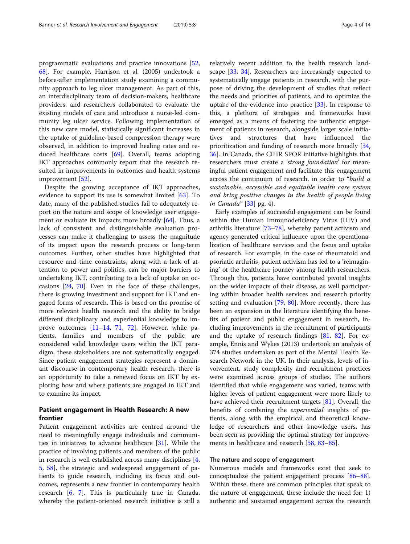programmatic evaluations and practice innovations [[52](#page-11-0), [68\]](#page-12-0). For example, Harrison et al. (2005) undertook a before-after implementation study examining a community approach to leg ulcer management. As part of this, an interdisciplinary team of decision-makers, healthcare providers, and researchers collaborated to evaluate the existing models of care and introduce a nurse-led community leg ulcer service. Following implementation of this new care model, statistically significant increases in the uptake of guideline-based compression therapy were observed, in addition to improved healing rates and reduced healthcare costs [\[69](#page-12-0)]. Overall, teams adopting IKT approaches commonly report that the research resulted in improvements in outcomes and health systems improvement [[52](#page-11-0)].

Despite the growing acceptance of IKT approaches, evidence to support its use is somewhat limited [[63](#page-12-0)]. To date, many of the published studies fail to adequately report on the nature and scope of knowledge user engagement or evaluate its impacts more broadly [[64\]](#page-12-0). Thus, a lack of consistent and distinguishable evaluation processes can make it challenging to assess the magnitude of its impact upon the research process or long-term outcomes. Further, other studies have highlighted that resource and time constraints, along with a lack of attention to power and politics, can be major barriers to undertaking IKT, contributing to a lack of uptake on occasions [\[24](#page-11-0), [70\]](#page-12-0). Even in the face of these challenges, there is growing investment and support for IKT and engaged forms of research. This is based on the promise of more relevant health research and the ability to bridge different disciplinary and experiential knowledge to improve outcomes  $[11-14, 71, 72]$  $[11-14, 71, 72]$  $[11-14, 71, 72]$  $[11-14, 71, 72]$  $[11-14, 71, 72]$  $[11-14, 71, 72]$  $[11-14, 71, 72]$  $[11-14, 71, 72]$ . However, while patients, families and members of the public are considered valid knowledge users within the IKT paradigm, these stakeholders are not systematically engaged. Since patient engagement strategies represent a dominant discourse in contemporary health research, there is an opportunity to take a renewed focus on IKT by exploring how and where patients are engaged in IKT and to examine its impact.

# Patient engagement in Health Research: A new frontier

Patient engagement activities are centred around the need to meaningfully engage individuals and communities in initiatives to advance healthcare  $[31]$  $[31]$ . While the practice of involving patients and members of the public in research is well established across many disciplines [\[4](#page-10-0), [5,](#page-10-0) [58\]](#page-11-0), the strategic and widespread engagement of patients to guide research, including its focus and outcomes, represents a new frontier in contemporary health research [\[6](#page-10-0), [7\]](#page-10-0). This is particularly true in Canada, whereby the patient-oriented research initiative is still a relatively recent addition to the health research landscape [\[33,](#page-11-0) [34\]](#page-11-0). Researchers are increasingly expected to systematically engage patients in research, with the purpose of driving the development of studies that reflect the needs and priorities of patients, and to optimize the uptake of the evidence into practice  $[33]$  $[33]$ . In response to this, a plethora of strategies and frameworks have emerged as a means of fostering the authentic engagement of patients in research, alongside larger scale initiatives and structures that have influenced the prioritization and funding of research more broadly [[34](#page-11-0), [36\]](#page-11-0). In Canada, the CIHR SPOR initiative highlights that researchers must create a *'strong foundation'* for meaningful patient engagement and facilitate this engagement across the continuum of research, in order to "build a sustainable, accessible and equitable health care system and bring positive changes in the health of people living in Canada" [\[33](#page-11-0)] pg. 4).

Early examples of successful engagement can be found within the Human Immunodeficiency Virus (HIV) and arthritis literature [[73](#page-12-0)–[78](#page-12-0)], whereby patient activism and agency generated critical influence upon the operationalization of healthcare services and the focus and uptake of research. For example, in the case of rheumatoid and psoriatic arthritis, patient activism has led to a 'reimagining' of the healthcare journey among health researchers. Through this, patients have contributed pivotal insights on the wider impacts of their disease, as well participating within broader health services and research priority setting and evaluation [[79](#page-12-0), [80\]](#page-12-0). More recently, there has been an expansion in the literature identifying the benefits of patient and public engagement in research, including improvements in the recruitment of participants and the uptake of research findings [\[81,](#page-12-0) [82](#page-12-0)]. For example, Ennis and Wykes (2013) undertook an analysis of 374 studies undertaken as part of the Mental Health Research Network in the UK. In their analysis, levels of involvement, study complexity and recruitment practices were examined across groups of studies. The authors identified that while engagement was varied, teams with higher levels of patient engagement were more likely to have achieved their recruitment targets [\[81](#page-12-0)]. Overall, the benefits of combining the experiential insights of patients, along with the empirical and theoretical knowledge of researchers and other knowledge users, has been seen as providing the optimal strategy for improvements in healthcare and research [[58,](#page-11-0) [83](#page-12-0)–[85](#page-12-0)].

# The nature and scope of engagement

Numerous models and frameworks exist that seek to conceptualize the patient engagement process [[86](#page-12-0)–[88](#page-12-0)]. Within these, there are common principles that speak to the nature of engagement, these include the need for: 1) authentic and sustained engagement across the research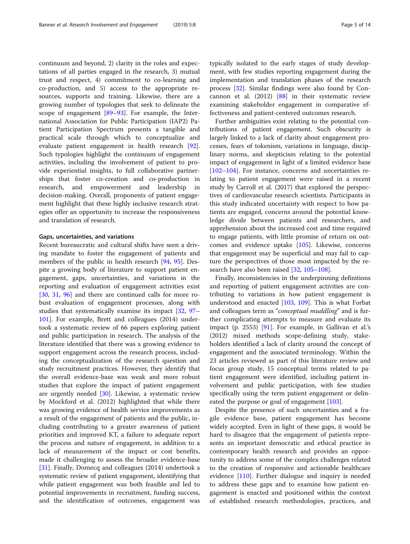continuum and beyond, 2) clarity in the roles and expectations of all parties engaged in the research, 3) mutual trust and respect, 4) commitment to co-learning and co-production, and 5) access to the appropriate resources, supports and training. Likewise, there are a growing number of typologies that seek to delineate the scope of engagement [\[89](#page-12-0)–[93\]](#page-12-0). For example, the International Association for Public Participation (IAP2) Patient Participation Spectrum presents a tangible and practical scale through which to conceptualize and evaluate patient engagement in health research [\[92](#page-12-0)]. Such typologies highlight the continuum of engagement activities, including the involvement of patient to provide experiential insights, to full collaborative partnerships that foster co-creation and co-production in research, and empowerment and leadership in decision-making. Overall, proponents of patient engagement highlight that these highly inclusive research strategies offer an opportunity to increase the responsiveness and translation of research.

## Gaps, uncertainties, and variations

Recent bureaucratic and cultural shifts have seen a driving mandate to foster the engagement of patients and members of the public in health research [[94,](#page-12-0) [95](#page-12-0)]. Despite a growing body of literature to support patient engagement, gaps, uncertainties, and variations in the reporting and evaluation of engagement activities exist [[30,](#page-11-0) [31,](#page-11-0) [96\]](#page-12-0) and there are continued calls for more robust evaluation of engagement processes, along with studies that systematically examine its impact [\[32](#page-11-0), [97](#page-12-0)– [101](#page-12-0)]. For example, Brett and colleagues (2014) undertook a systematic review of 66 papers exploring patient and public participation in research. The analysis of the literature identified that there was a growing evidence to support engagement across the research process, including the conceptualization of the research question and study recruitment practices. However, they identify that the overall evidence-base was weak and more robust studies that explore the impact of patient engagement are urgently needed [[30\]](#page-11-0). Likewise, a systematic review by Mockford et al. (2012) highlighted that while there was growing evidence of health service improvements as a result of the engagement of patients and the public, including contributing to a greater awareness of patient priorities and improved KT, a failure to adequate report the process and nature of engagement, in addition to a lack of measurement of the impact or cost benefits, made it challenging to assess the broader evidence-base [[31\]](#page-11-0). Finally, Domecq and colleagues (2014) undertook a systematic review of patient engagement, identifying that while patient engagement was both feasible and led to potential improvements in recruitment, funding success, and the identification of outcomes, engagement was

typically isolated to the early stages of study development, with few studies reporting engagement during the implementation and translation phases of the research process [[32](#page-11-0)]. Similar findings were also found by Concannon et al. (2012) [\[88](#page-12-0)] in their systematic review examining stakeholder engagement in comparative effectiveness and patient-centered outcomes research.

Further ambiguities exist relating to the potential contributions of patient engagement. Such obscurity is largely linked to a lack of clarity about engagement processes, fears of tokenism, variations in language, disciplinary norms, and skepticism relating to the potential impact of engagement in light of a limited evidence base [[102](#page-12-0)–[104](#page-12-0)]. For instance, concerns and uncertainties relating to patient engagement were raised in a recent study by Carroll et al. (2017) that explored the perspectives of cardiovascular research scientists. Participants in this study indicated uncertainty with respect to how patients are engaged, concerns around the potential knowledge divide between patients and researchers, and apprehension about the increased cost and time required to engage patients, with little promise of return on outcomes and evidence uptake [[105](#page-13-0)]. Likewise, concerns that engagement may be superficial and may fail to capture the perspectives of those most impacted by the re-search have also been raised [\[32](#page-11-0), [105](#page-13-0)-[108\]](#page-13-0).

Finally, inconsistencies in the underpinning definitions and reporting of patient engagement activities are contributing to variations in how patient engagement is understood and enacted [\[103,](#page-12-0) [109](#page-13-0)]. This is what Forbat and colleagues term as "conceptual muddling" and is further complicating attempts to measure and evaluate its impact (p. 2553) [[91\]](#page-12-0). For example, in Gallivan et al.'s (2012) mixed methods scope-defining study, stakeholders identified a lack of clarity around the concept of engagement and the associated terminology. Within the 23 articles reviewed as part of this literature review and focus group study, 15 conceptual terms related to patient engagement were identified, including patient involvement and public participation, with few studies specifically using the term patient engagement or delineated the purpose or goal of engagement [\[103](#page-12-0)].

Despite the presence of such uncertainties and a fragile evidence base, patient engagement has become widely accepted. Even in light of these gaps, it would be hard to disagree that the engagement of patients represents an important democratic and ethical practice in contemporary health research and provides an opportunity to address some of the complex challenges related to the creation of responsive and actionable healthcare evidence [[110](#page-13-0)]. Further dialogue and inquiry is needed to address these gaps and to examine how patient engagement is enacted and positioned within the context of established research methodologies, practices, and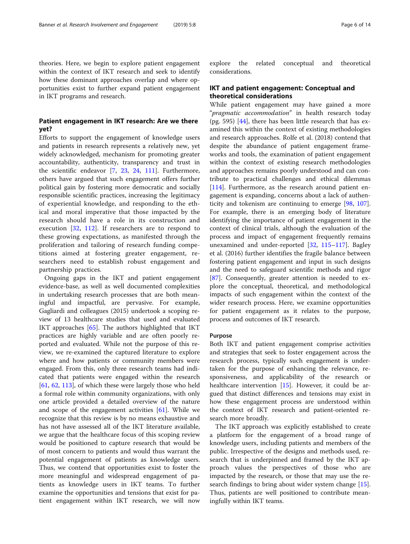theories. Here, we begin to explore patient engagement within the context of IKT research and seek to identify how these dominant approaches overlap and where opportunities exist to further expand patient engagement in IKT programs and research.

# Patient engagement in IKT research: Are we there yet?

Efforts to support the engagement of knowledge users and patients in research represents a relatively new, yet widely acknowledged, mechanism for promoting greater accountability, authenticity, transparency and trust in the scientific endeavor [[7,](#page-10-0) [23](#page-11-0), [24,](#page-11-0) [111](#page-13-0)]. Furthermore, others have argued that such engagement offers further political gain by fostering more democratic and socially responsible scientific practices, increasing the legitimacy of experiential knowledge, and responding to the ethical and moral imperative that those impacted by the research should have a role in its construction and execution [[32,](#page-11-0) [112\]](#page-13-0). If researchers are to respond to these growing expectations, as manifested through the proliferation and tailoring of research funding competitions aimed at fostering greater engagement, researchers need to establish robust engagement and partnership practices.

Ongoing gaps in the IKT and patient engagement evidence-base, as well as well documented complexities in undertaking research processes that are both meaningful and impactful, are pervasive. For example, Gagliardi and colleagues (2015) undertook a scoping review of 13 healthcare studies that used and evaluated IKT approaches [\[65](#page-12-0)]. The authors highlighted that IKT practices are highly variable and are often poorly reported and evaluated. While not the purpose of this review, we re-examined the captured literature to explore where and how patients or community members were engaged. From this, only three research teams had indicated that patients were engaged within the research [[61,](#page-12-0) [62,](#page-12-0) [113\]](#page-13-0), of which these were largely those who held a formal role within community organizations, with only one article provided a detailed overview of the nature and scope of the engagement activities  $[61]$  $[61]$ . While we recognize that this review is by no means exhaustive and has not have assessed all of the IKT literature available, we argue that the healthcare focus of this scoping review would be positioned to capture research that would be of most concern to patients and would thus warrant the potential engagement of patients as knowledge users. Thus, we contend that opportunities exist to foster the more meaningful and widespread engagement of patients as knowledge users in IKT teams. To further examine the opportunities and tensions that exist for patient engagement within IKT research, we will now

explore the related conceptual and theoretical considerations.

# IKT and patient engagement: Conceptual and theoretical considerations

While patient engagement may have gained a more "pragmatic accommodation" in health research today (pg. 595) [[44\]](#page-11-0), there has been little research that has examined this within the context of existing methodologies and research approaches. Rolfe et al. (2018) contend that despite the abundance of patient engagement frameworks and tools, the examination of patient engagement within the context of existing research methodologies and approaches remains poorly understood and can contribute to practical challenges and ethical dilemmas [[114\]](#page-13-0). Furthermore, as the research around patient engagement is expanding, concerns about a lack of authenticity and tokenism are continuing to emerge [[98,](#page-12-0) [107](#page-13-0)]. For example, there is an emerging body of literature identifying the importance of patient engagement in the context of clinical trials, although the evaluation of the process and impact of engagement frequently remains unexamined and under-reported [[32,](#page-11-0) [115](#page-13-0)–[117](#page-13-0)]. Bagley et al. (2016) further identifies the fragile balance between fostering patient engagement and input in such designs and the need to safeguard scientific methods and rigor [[87\]](#page-12-0). Consequently, greater attention is needed to explore the conceptual, theoretical, and methodological impacts of such engagement within the context of the wider research process. Here, we examine opportunities for patient engagement as it relates to the purpose, process and outcomes of IKT research.

## Purpose

Both IKT and patient engagement comprise activities and strategies that seek to foster engagement across the research process, typically such engagement is undertaken for the purpose of enhancing the relevance, responsiveness, and applicability of the research or healthcare intervention [\[15](#page-11-0)]. However, it could be argued that distinct differences and tensions may exist in how these engagement process are understood within the context of IKT research and patient-oriented research more broadly.

The IKT approach was explicitly established to create a platform for the engagement of a broad range of knowledge users, including patients and members of the public. Irrespective of the designs and methods used, research that is underpinned and framed by the IKT approach values the perspectives of those who are impacted by the research, or those that may use the research findings to bring about wider system change [\[15](#page-11-0)]. Thus, patients are well positioned to contribute meaningfully within IKT teams.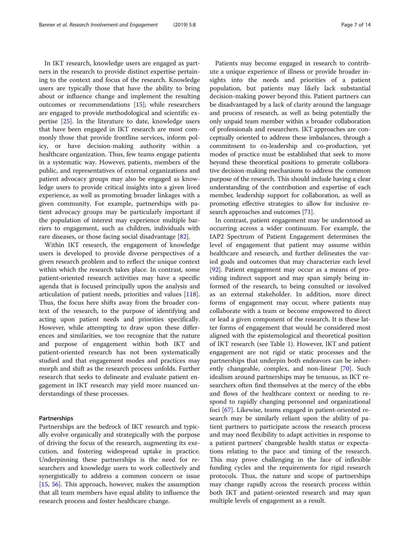In IKT research, knowledge users are engaged as partners in the research to provide distinct expertise pertaining to the context and focus of the research. Knowledge users are typically those that have the ability to bring about or influence change and implement the resulting outcomes or recommendations [\[15](#page-11-0)]; while researchers are engaged to provide methodological and scientific expertise [[25\]](#page-11-0). In the literature to date, knowledge users that have been engaged in IKT research are most commonly those that provide frontline services, inform policy, or have decision-making authority within a healthcare organization. Thus, few teams engage patients in a systematic way. However, patients, members of the public, and representatives of external organizations and patient advocacy groups may also be engaged as knowledge users to provide critical insights into a given lived experience, as well as promoting broader linkages with a given community. For example, partnerships with patient advocacy groups may be particularly important if the population of interest may experience multiple barriers to engagement, such as children, individuals with rare diseases, or those facing social disadvantage [\[82](#page-12-0)].

Within IKT research, the engagement of knowledge users is developed to provide diverse perspectives of a given research problem and to reflect the unique context within which the research takes place. In contrast, some patient-oriented research activities may have a specific agenda that is focused principally upon the analysis and articulation of patient needs, priorities and values [\[118](#page-13-0)]. Thus, the focus here shifts away from the broader context of the research, to the purpose of identifying and acting upon patient needs and priorities specifically. However, while attempting to draw upon these differences and similarities, we too recognize that the nature and purpose of engagement within both IKT and patient-oriented research has not been systematically studied and that engagement modes and practices may morph and shift as the research process unfolds. Further research that seeks to delineate and evaluate patient engagement in IKT research may yield more nuanced understandings of these processes.

## Partnerships

Partnerships are the bedrock of IKT research and typically evolve organically and strategically with the purpose of driving the focus of the research, augmenting its execution, and fostering widespread uptake in practice. Underpinning these partnerships is the need for researchers and knowledge users to work collectively and synergistically to address a common concern or issue [[15,](#page-11-0) [56](#page-11-0)]. This approach, however, makes the assumption that all team members have equal ability to influence the research process and foster healthcare change.

Patients may become engaged in research to contribute a unique experience of illness or provide broader insights into the needs and priorities of a patient population, but patients may likely lack substantial decision-making power beyond this. Patient partners can be disadvantaged by a lack of clarity around the language and process of research, as well as being potentially the only unpaid team member within a broader collaboration of professionals and researchers. IKT approaches are conceptually oriented to address these imbalances, through a commitment to co-leadership and co-production, yet modes of practice must be established that seek to move beyond these theoretical positions to generate collaborative decision-making mechanisms to address the common purpose of the research. This should include having a clear understanding of the contribution and expertise of each member, leadership support for collaboration, as well as promoting effective strategies to allow for inclusive research approaches and outcomes [\[71\]](#page-12-0).

In contrast, patient engagement may be understood as occurring across a wider continuum. For example, the IAP2 Spectrum of Patient Engagement determines the level of engagement that patient may assume within healthcare and research, and further delineates the varied goals and outcomes that may characterize each level [[92\]](#page-12-0). Patient engagement may occur as a means of providing indirect support and may span simply being informed of the research, to being consulted or involved as an external stakeholder. In addition, more direct forms of engagement may occur, where patients may collaborate with a team or become empowered to direct or lead a given component of the research. It is these latter forms of engagement that would be considered most aligned with the epistemological and theoretical position of IKT research (see Table [1\)](#page-7-0). However, IKT and patient engagement are not rigid or static processes and the partnerships that underpin both endeavors can be inherently changeable, complex, and non-linear [[70\]](#page-12-0). Such idealism around partnerships may be tenuous, as IKT researchers often find themselves at the mercy of the ebbs and flows of the healthcare context or needing to respond to rapidly changing personnel and organizational foci [[67\]](#page-12-0). Likewise, teams engaged in patient-oriented research may be similarly reliant upon the ability of patient partners to participate across the research process and may need flexibility to adapt activities in response to a patient partners' changeable health status or expectations relating to the pace and timing of the research. This may prove challenging in the face of inflexible funding cycles and the requirements for rigid research protocols. Thus, the nature and scope of partnerships may change rapidly across the research process within both IKT and patient-oriented research and may span multiple levels of engagement as a result.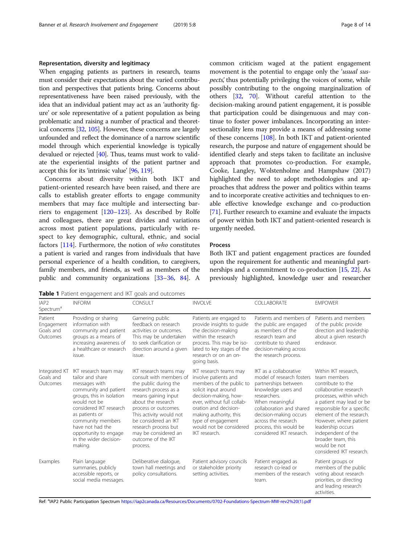# <span id="page-7-0"></span>Representation, diversity and legitimacy

When engaging patients as partners in research, teams must consider their expectations about the varied contribution and perspectives that patients bring. Concerns about representativeness have been raised previously, with the idea that an individual patient may act as an 'authority figure' or sole representative of a patient population as being problematic and raising a number of practical and theoretical concerns [[32](#page-11-0), [105](#page-13-0)]. However, these concerns are largely unfounded and reflect the dominance of a narrow scientific model through which experiential knowledge is typically devalued or rejected [[40](#page-11-0)]. Thus, teams must work to validate the experiential insights of the patient partner and accept this for its 'intrinsic value' [\[96,](#page-12-0) [119\]](#page-13-0).

Concerns about diversity within both IKT and patient-oriented research have been raised, and there are calls to establish greater efforts to engage community members that may face multiple and intersecting barriers to engagement [\[120](#page-13-0)–[123\]](#page-13-0). As described by Rolfe and colleagues, there are great divides and variations across most patient populations, particularly with respect to key demographic, cultural, ethnic, and social factors [[114\]](#page-13-0). Furthermore, the notion of who constitutes a patient is varied and ranges from individuals that have personal experience of a health condition, to caregivers, family members, and friends, as well as members of the public and community organizations [\[33](#page-11-0)–[36](#page-11-0), [84](#page-12-0)]. A common criticism waged at the patient engagement movement is the potential to engage only the 'usual suspects', thus potentially privileging the voices of some, while possibly contributing to the ongoing marginalization of others [[32](#page-11-0), [70\]](#page-12-0). Without careful attention to the decision-making around patient engagement, it is possible that participation could be disingenuous and may continue to foster power imbalances. Incorporating an intersectionality lens may provide a means of addressing some of these concerns [[108](#page-13-0)]. In both IKT and patient-oriented research, the purpose and nature of engagement should be identified clearly and steps taken to facilitate an inclusive approach that promotes co-production. For example, Cooke, Langley, Wolstenholme and Hampshaw (2017) highlighted the need to adopt methodologies and approaches that address the power and politics within teams and to incorporate creative activities and techniques to enable effective knowledge exchange and co-production [[71](#page-12-0)]. Further research to examine and evaluate the impacts of power within both IKT and patient-oriented research is urgently needed.

# Process

Both IKT and patient engagement practices are founded upon the requirement for authentic and meaningful partnerships and a commitment to co-production [\[15,](#page-11-0) [22\]](#page-11-0). As previously highlighted, knowledge user and researcher

Table 1 Patient engagement and IKT goals and outcomes

| IAP <sub>2</sub><br>Spectrum <sup>a</sup>      | <b>INFORM</b>                                                                                                                                                                                                                                                                        | <b>CONSULT</b>                                                                                                                                                                                                                                                                                                | <b>INVOI VF</b>                                                                                                                                                                                                                                                                | COLLABORATE                                                                                                                                                                                                                                                              | <b>FMPOWER</b>                                                                                                                                                                                                                                                                                                                              |
|------------------------------------------------|--------------------------------------------------------------------------------------------------------------------------------------------------------------------------------------------------------------------------------------------------------------------------------------|---------------------------------------------------------------------------------------------------------------------------------------------------------------------------------------------------------------------------------------------------------------------------------------------------------------|--------------------------------------------------------------------------------------------------------------------------------------------------------------------------------------------------------------------------------------------------------------------------------|--------------------------------------------------------------------------------------------------------------------------------------------------------------------------------------------------------------------------------------------------------------------------|---------------------------------------------------------------------------------------------------------------------------------------------------------------------------------------------------------------------------------------------------------------------------------------------------------------------------------------------|
| Patient<br>Engagement<br>Goals and<br>Outcomes | Providing or sharing<br>information with<br>community and patient<br>groups as a means of<br>increasing awareness of<br>a healthcare or research<br>issue.                                                                                                                           | Garnering public<br>feedback on research<br>activities or outcomes.<br>This may be undertaken<br>to seek clarification or<br>direction around a given<br>issue.                                                                                                                                               | Patients are engaged to<br>provide insights to quide<br>the decision-making<br>within the research<br>process. This may be iso-<br>lated to key stages of the<br>research or on an on-<br>going basis.                                                                         | Patients and members of<br>the public are engaged<br>as members of the<br>research team and<br>contribute to shared<br>decision-making across<br>the research process.                                                                                                   | Patients and members<br>of the public provide<br>direction and leadership<br>about a given research<br>endeavor.                                                                                                                                                                                                                            |
| Integrated KT<br>Goals and<br>Outcomes         | IKT research team may<br>tailor and share<br>messages with<br>community and patient<br>groups, this in isolation<br>would not be<br>considered IKT research<br>as patients or<br>community members<br>have not had the<br>opportunity to engage<br>in the wider decision-<br>making. | IKT research teams may<br>consult with members of<br>the public during the<br>research process as a<br>means gaining input<br>about the research<br>process or outcomes.<br>This activity would not<br>be considered an IKT<br>research process but<br>may be considered an<br>outcome of the IKT<br>process. | IKT research teams may<br>involve patients and<br>members of the public to<br>solicit input around<br>decision-making, how-<br>ever, without full collab-<br>oration and decision-<br>making authority, this<br>type of engagement<br>would not be considered<br>IKT research. | IKT as a collaborative<br>model of research fosters<br>partnerships between<br>knowledge users and<br>researchers.<br>When meaningful<br>collaboration and shared<br>decision-making occurs<br>across the research<br>process, this would be<br>considered IKT research. | Within IKT research,<br>team members<br>contribute to the<br>collaborative research<br>processes, within which<br>a patient may lead or be<br>responsible for a specific<br>element of the research.<br>However, where patient<br>leadership occurs<br>independent of the<br>broader team, this<br>would be not<br>considered IKT research. |
| Examples                                       | Plain language<br>summaries, publicly<br>accessible reports, or<br>social media messages.                                                                                                                                                                                            | Deliberative dialogue,<br>town hall meetings and<br>policy consultations.                                                                                                                                                                                                                                     | Patient advisory councils<br>or stakeholder priority<br>setting activities.                                                                                                                                                                                                    | Patient engaged as<br>research co-lead or<br>members of the research<br>team.                                                                                                                                                                                            | Patient groups or<br>members of the public<br>voting about research<br>priorities, or directing<br>and leading research<br>activities.                                                                                                                                                                                                      |

Ref: <sup>a</sup>IAP2 Public Participation Spectrum [https://iap2canada.ca/Resources/Documents/0702-Foundations-Spectrum-MW-rev2%20\(1\).pdf](https://iap2canada.ca/Resources/Documents/0702-Foundations-Spectrum-MW-rev2%20(1).pdf)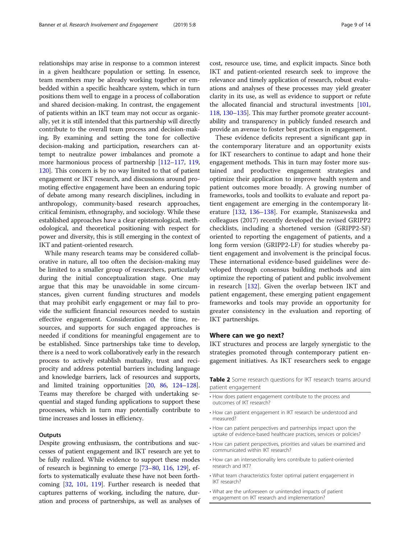<span id="page-8-0"></span>relationships may arise in response to a common interest in a given healthcare population or setting. In essence, team members may be already working together or embedded within a specific healthcare system, which in turn positions them well to engage in a process of collaboration and shared decision-making. In contrast, the engagement of patients within an IKT team may not occur as organically, yet it is still intended that this partnership will directly contribute to the overall team process and decision-making. By examining and setting the tone for collective decision-making and participation, researchers can attempt to neutralize power imbalances and promote a more harmonious process of partnership [\[112](#page-13-0)–[117,](#page-13-0) [119](#page-13-0), [120](#page-13-0)]. This concern is by no way limited to that of patient engagement or IKT research, and discussions around promoting effective engagement have been an enduring topic of debate among many research disciplines, including in anthropology, community-based research approaches, critical feminism, ethnography, and sociology. While these established approaches have a clear epistemological, methodological, and theoretical positioning with respect for power and diversity, this is still emerging in the context of IKT and patient-oriented research.

While many research teams may be considered collaborative in nature, all too often the decision-making may be limited to a smaller group of researchers, particularly during the initial conceptualization stage. One may argue that this may be unavoidable in some circumstances, given current funding structures and models that may prohibit early engagement or may fail to provide the sufficient financial resources needed to sustain effective engagement. Consideration of the time, resources, and supports for such engaged approaches is needed if conditions for meaningful engagement are to be established. Since partnerships take time to develop, there is a need to work collaboratively early in the research process to actively establish mutuality, trust and reciprocity and address potential barriers including language and knowledge barriers, lack of resources and supports, and limited training opportunities [[20](#page-11-0), [86,](#page-12-0) [124](#page-13-0)–[128](#page-13-0)]. Teams may therefore be charged with undertaking sequential and staged funding applications to support these processes, which in turn may potentially contribute to time increases and losses in efficiency.

# **Outputs**

Despite growing enthusiasm, the contributions and successes of patient engagement and IKT research are yet to be fully realized. While evidence to support these modes of research is beginning to emerge [[73](#page-12-0)–[80,](#page-12-0) [116,](#page-13-0) [129](#page-13-0)], efforts to systematically evaluate these have not been forthcoming [[32](#page-11-0), [101,](#page-12-0) [119\]](#page-13-0). Further research is needed that captures patterns of working, including the nature, duration and process of partnerships, as well as analyses of cost, resource use, time, and explicit impacts. Since both IKT and patient-oriented research seek to improve the relevance and timely application of research, robust evaluations and analyses of these processes may yield greater clarity in its use, as well as evidence to support or refute the allocated financial and structural investments [\[101](#page-12-0), [118](#page-13-0), [130](#page-13-0)–[135\]](#page-13-0). This may further promote greater accountability and transparency in publicly funded research and provide an avenue to foster best practices in engagement.

These evidence deficits represent a significant gap in the contemporary literature and an opportunity exists for IKT researchers to continue to adapt and hone their engagement methods. This in turn may foster more sustained and productive engagement strategies and optimize their application to improve health system and patient outcomes more broadly. A growing number of frameworks, tools and toolkits to evaluate and report patient engagement are emerging in the contemporary literature [\[132,](#page-13-0) [136](#page-13-0)–[138\]](#page-13-0). For example, Staniszewska and colleagues (2017) recently developed the revised GRIPP2 checklists, including a shortened version (GRIPP2-SF) oriented to reporting the engagement of patients, and a long form version (GRIPP2-LF) for studies whereby patient engagement and involvement is the principal focus. These international evidence-based guidelines were developed through consensus building methods and aim optimize the reporting of patient and public involvement in research [\[132\]](#page-13-0). Given the overlap between IKT and patient engagement, these emerging patient engagement frameworks and tools may provide an opportunity for greater consistency in the evaluation and reporting of IKT partnerships.

## Where can we go next?

IKT structures and process are largely synergistic to the strategies promoted through contemporary patient engagement initiatives. As IKT researchers seek to engage

Table 2 Some research questions for IKT research teams around patient engagement

- How does patient engagement contribute to the process and outcomes of IKT research?
- How can patient engagement in IKT research be understood and measured?
- How can patient perspectives and partnerships impact upon the uptake of evidence-based healthcare practices, services or policies?
- How can patient perspectives, priorities and values be examined and communicated within IKT research?
- How can an intersectionality lens contribute to patient-oriented research and IKT?
- What team characteristics foster optimal patient engagement in IKT research?
- What are the unforeseen or unintended impacts of patient engagement on IKT research and implementation?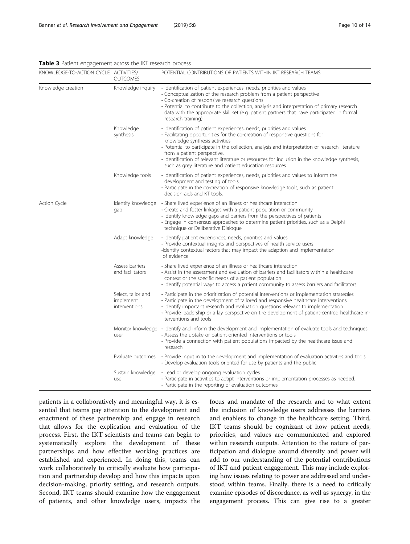<span id="page-9-0"></span>

|  |  | Table 3 Patient engagement across the IKT research process |  |  |  |  |  |  |
|--|--|------------------------------------------------------------|--|--|--|--|--|--|
|--|--|------------------------------------------------------------|--|--|--|--|--|--|

| KNOWLEDGE-TO-ACTION CYCLE ACTIVITIES/ | <b>OUTCOMES</b>                                  | POTENTIAL CONTRIBUTIONS OF PATIENTS WITHIN IKT RESEARCH TEAMS                                                                                                                                                                                                                                                                                                                                                                                                                            |
|---------------------------------------|--------------------------------------------------|------------------------------------------------------------------------------------------------------------------------------------------------------------------------------------------------------------------------------------------------------------------------------------------------------------------------------------------------------------------------------------------------------------------------------------------------------------------------------------------|
| Knowledge creation                    | Knowledge inquiry                                | · Identification of patient experiences, needs, priorities and values<br>• Conceptualization of the research problem from a patient perspective<br>• Co-creation of responsive research questions<br>• Potential to contribute to the collection, analysis and interpretation of primary research<br>data with the appropriate skill set (e.g. patient partners that have participated in formal<br>research training).                                                                  |
|                                       | Knowledge<br>synthesis                           | · Identification of patient experiences, needs, priorities and values<br>• Facilitating opportunities for the co-creation of responsive questions for<br>knowledge synthesis activities<br>· Potential to participate in the collection, analysis and interpretation of research literature<br>from a patient perspective.<br>· Identification of relevant literature or resources for inclusion in the knowledge synthesis,<br>such as grey literature and patient education resources. |
|                                       | Knowledge tools                                  | • Identification of patient experiences, needs, priorities and values to inform the<br>development and testing of tools<br>• Participate in the co-creation of responsive knowledge tools, such as patient<br>decision-aids and KT tools.                                                                                                                                                                                                                                                |
| <b>Action Cycle</b>                   | Identify knowledge<br>gap                        | • Share lived experience of an illness or healthcare interaction<br>• Create and foster linkages with a patient population or community<br>· Identify knowledge gaps and barriers from the perspectives of patients<br>· Engage in consensus approaches to determine patient priorities, such as a Delphi<br>technique or Deliberative Dialogue                                                                                                                                          |
|                                       | Adapt knowledge                                  | · Identify patient experiences, needs, priorities and values<br>• Provide contextual insights and perspectives of health service users<br>Identify contextual factors that may impact the adaption and implementation<br>of evidence                                                                                                                                                                                                                                                     |
|                                       | Assess barriers<br>and facilitators              | • Share lived experience of an illness or healthcare interaction<br>• Assist in the assessment and evaluation of barriers and facilitators within a healthcare<br>context or the specific needs of a patient population<br>• Identify potential ways to access a patient community to assess barriers and facilitators                                                                                                                                                                   |
|                                       | Select, tailor and<br>implement<br>interventions | • Participate in the prioritization of potential interventions or implementation strategies<br>• Participate in the development of tailored and responsive healthcare interventions<br>• Identify important research and evaluation questions relevant to implementation<br>• Provide leadership or a lay perspective on the development of patient-centred healthcare in-<br>terventions and tools                                                                                      |
|                                       | user                                             | Monitor knowledge • Identify and inform the development and implementation of evaluate tools and techniques<br>• Assess the uptake or patient-oriented interventions or tools<br>• Provide a connection with patient populations impacted by the healthcare issue and<br>research                                                                                                                                                                                                        |
|                                       | Evaluate outcomes                                | . Provide input in to the development and implementation of evaluation activities and tools<br>• Develop evaluation tools oriented for use by patients and the public                                                                                                                                                                                                                                                                                                                    |
|                                       | Sustain knowledge<br>use                         | • Lead or develop ongoing evaluation cycles<br>· Participate in activities to adapt interventions or implementation processes as needed.<br>• Participate in the reporting of evaluation outcomes                                                                                                                                                                                                                                                                                        |

patients in a collaboratively and meaningful way, it is essential that teams pay attention to the development and enactment of these partnership and engage in research that allows for the explication and evaluation of the process. First, the IKT scientists and teams can begin to systematically explore the development of these partnerships and how effective working practices are established and experienced. In doing this, teams can work collaboratively to critically evaluate how participation and partnership develop and how this impacts upon decision-making, priority setting, and research outputs. Second, IKT teams should examine how the engagement of patients, and other knowledge users, impacts the focus and mandate of the research and to what extent the inclusion of knowledge users addresses the barriers and enablers to change in the healthcare setting. Third, IKT teams should be cognizant of how patient needs, priorities, and values are communicated and explored within research outputs. Attention to the nature of participation and dialogue around diversity and power will add to our understanding of the potential contributions of IKT and patient engagement. This may include exploring how issues relating to power are addressed and understood within teams. Finally, there is a need to critically examine episodes of discordance, as well as synergy, in the engagement process. This can give rise to a greater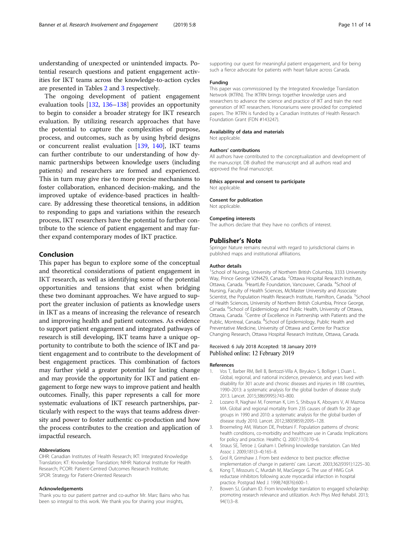<span id="page-10-0"></span>understanding of unexpected or unintended impacts. Potential research questions and patient engagement activities for IKT teams across the knowledge-to-action cycles are presented in Tables [2](#page-8-0) and [3](#page-9-0) respectively.

The ongoing development of patient engagement evaluation tools [[132](#page-13-0), [136](#page-13-0)–[138](#page-13-0)] provides an opportunity to begin to consider a broader strategy for IKT research evaluation. By utilizing research approaches that have the potential to capture the complexities of purpose, process, and outcomes, such as by using hybrid designs or concurrent realist evaluation [[139](#page-13-0), [140](#page-13-0)], IKT teams can further contribute to our understanding of how dynamic partnerships between knowledge users (including patients) and researchers are formed and experienced. This in turn may give rise to more precise mechanisms to foster collaboration, enhanced decision-making, and the improved uptake of evidence-based practices in healthcare. By addressing these theoretical tensions, in addition to responding to gaps and variations within the research process, IKT researchers have the potential to further contribute to the science of patient engagement and may further expand contemporary modes of IKT practice.

# Conclusion

This paper has begun to explore some of the conceptual and theoretical considerations of patient engagement in IKT research, as well as identifying some of the potential opportunities and tensions that exist when bridging these two dominant approaches. We have argued to support the greater inclusion of patients as knowledge users in IKT as a means of increasing the relevance of research and improving health and patient outcomes. As evidence to support patient engagement and integrated pathways of research is still developing, IKT teams have a unique opportunity to contribute to both the science of IKT and patient engagement and to contribute to the development of best engagement practices. This combination of factors may further yield a greater potential for lasting change and may provide the opportunity for IKT and patient engagement to forge new ways to improve patient and health outcomes. Finally, this paper represents a call for more systematic evaluations of IKT research partnerships, particularly with respect to the ways that teams address diversity and power to foster authentic co-production and how the process contributes to the creation and application of impactful research.

### Abbreviations

CIHR: Canadian Institutes of Health Research; IKT: Integrated Knowledge Translation; KT: Knowledge Translation; NIHR: National Institute for Health Research; PCORI: Patient-Centred Outcomes Research Institute; SPOR: Strategy for Patient-Oriented Research

#### Acknowledgements

Thank you to our patient partner and co-author Mr. Marc Bains who has been so integral to this work. We thank you for sharing your insights,

supporting our quest for meaningful patient engagement, and for being such a fierce advocate for patients with heart failure across Canada.

### Funding

This paper was commissioned by the Integrated Knowledge Translation Network (IKTRN). The IKTRN brings together knowledge users and researchers to advance the science and practice of IKT and train the next generation of IKT researchers. Honorariums were provided for completed papers. The IKTRN is funded by a Canadian Institutes of Health Research Foundation Grant (FDN #143247).

## Availability of data and materials

Not applicable.

## Authors' contributions

All authors have contributed to the conceptualization and development of the manuscript. DB drafted the manuscript and all authors read and approved the final manuscript.

## Ethics approval and consent to participate

Not applicable.

## Consent for publication

Not applicable.

#### Competing interests

The authors declare that they have no conflicts of interest.

## Publisher's Note

Springer Nature remains neutral with regard to jurisdictional claims in published maps and institutional affiliations.

## Author details

<sup>1</sup>School of Nursing, University of Northern British Columbia, 3333 University Way, Prince George V2N4Z9, Canada. <sup>2</sup>Ottawa Hospital Research Institute Ottawa, Canada. <sup>3</sup> HeartLife Foundation, Vancouver, Canada. <sup>4</sup> School of Nursing, Faculty of Health Sciences, McMaster University and Associate Scientist, the Population Health Research Institute, Hamilton, Canada. <sup>5</sup>School of Health Sciences, University of Northern British Columbia, Prince George, Canada. <sup>6</sup>School of Epidemiology and Public Health, University of Ottawa, Ottawa, Canada. <sup>7</sup>Centre of Excellence in Partnership with Patients and the Public, Montreal, Canada. <sup>8</sup>School of Epidemiology, Public Health and Preventative Medicine, University of Ottawa and Centre for Practice Changing Research, Ottawa Hospital Research Institute, Ottawa, Canada.

# Received: 6 July 2018 Accepted: 18 January 2019 Published online: 12 February 2019

## References

- 1. Vos T, Barber RM, Bell B, Bertozzi-Villa A, Biryukov S, Bolliger I, Duan L. Global, regional, and national incidence, prevalence, and years lived with disability for 301 acute and chronic diseases and injuries in 188 countries, 1990–2013: a systematic analysis for the global burden of disease study 2013. Lancet. 2015;386(9995):743–800.
- 2. Lozano R, Naghavi M, Foreman K, Lim S, Shibuya K, Aboyans V, Al Mazroa MA. Global and regional mortality from 235 causes of death for 20 age groups in 1990 and 2010: a systematic analysis for the global burden of disease study 2010. Lancet. 2012;380(9859):2095–128.
- 3. Broemeling AM, Watson DE, Prebtani F. Population patterns of chronic health conditions, co-morbidity and healthcare use in Canada: Implications for policy and practice. Healthc Q. 2007;11(3):70–6.
- 4. Straus SE, Tetroe J, Graham I. Defining knowledge translation. Can Med Assoc J. 2009;181(3–4):165–8.
- 5. Grol R, Grimshaw J. From best evidence to best practice: effective implementation of change in patients' care. Lancet. 2003;362(9391):1225–30.
- 6. Kong T, Missouris C, Murdah M, MacGregor G. The use of HMG CoA reductase inhibitors following acute myocardial infarction in hospital practice. Postgrad Med J. 1998;74(876):600–1.
- 7. Bowen SJ, Graham ID. From knowledge translation to engaged scholarship: promoting research relevance and utilization. Arch Phys Med Rehabil. 2013; 94(1):3–8.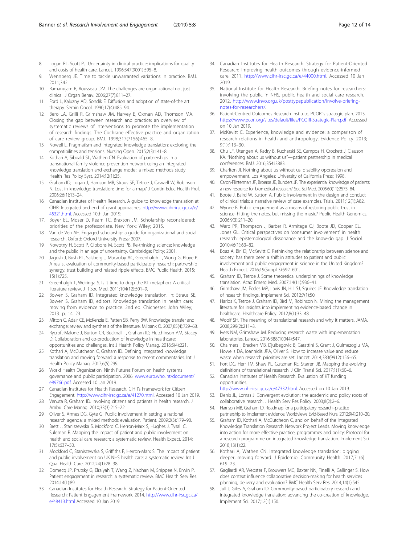- <span id="page-11-0"></span>8. Logan RL, Scott PJ. Uncertainty in clinical practice: implications for quality and costs of health care. Lancet. 1996;347(9001):595–8.
- Wennberg JE. Time to tackle unwarranted variations in practice. BMJ. 2011;342.
- 10. Ramanujam R, Rousseau DM. The challenges are organizational not just clinical. J Organ Behav. 2006;27(7):811–27.
- 11. Ford L, Kaluzny AD, Sondik E. Diffusion and adoption of state-of-the art therapy. Semin Oncol. 1990;17(4):485–94.
- 12. Bero LA, Grilli R, Grimshaw JM, Harvey E, Oxman AD, Thomson MA. Closing the gap between research and practice: an overview of systematic reviews of interventions to promote the implementation of research findings. The Cochrane effective practice and organization of care review group. BMJ. 1998;317(7156):465–8.
- 13. Nowell L. Pragmatism and integrated knowledge translation: exploring the compatibilities and tensions. Nursing Open. 2015;2(3):141–8.
- 14. Kothari A, Sibbald SL, Wathen CN. Evaluation of partnerships in a transnational family violence prevention network using an integrated knowledge translation and exchange model: a mixed methods study. Health Res Policy Syst. 2014;12(1):25.
- 15. Graham ID, Logan J, Harrison MB, Straus SE, Tetroe J, Caswell W, Robinson N. Lost in knowledge translation: time for a map? J Contin Educ Health Prof. 2006;26(1):13–24.
- 16. Canadian Institutes of Health Research. A guide to knowledge translation at CIHR: Integrated and end of grant approaches. [http://www.cihr-irsc.gc.ca/e/](http://www.cihr-irsc.gc.ca/e/45321.html) [45321.html](http://www.cihr-irsc.gc.ca/e/45321.html). Accessed 10th Jan 2019.
- 17. Boyer EL, Moser D, Ream TC, Braxton JM. Scholarship reconsidered: priorities of the professoriate. New York: Wiley; 2015.
- 18. Van de Ven AH. Engaged scholarship: a guide for organizational and social research. Oxford: Oxford University Press; 2007.
- 19. Nowotny H, Scott P, Gibbons M, Scott PB. Re-thinking science: knowledge and the public in an age of uncertainty. Cambridge: Polity; 2001.
- 20. Jagosh J, Bush PL, Salsberg J, Macaulay AC, Greenhalgh T, Wong G, Pluye P. A realist evaluation of community-based participatory research: partnership synergy, trust building and related ripple effects. BMC Public Health. 2015; 15(1):725.
- 21. Greenhalgh T, Weiringa S. Is it time to drop the KT metaphor? A critical literature review. J R Soc Med. 2011;104(12):501–9.
- 22. Bowen S, Graham ID. Integrated knowledge translation. In: Straus SE, Bowen S, Graham ID, editors. Knowledge translation in health care: moving from evidence to practice. 2nd ed. Chichester: John Wiley; 2013. p. 14–23.
- 23. Mitton C, Adair CE, McKenzie E, Patten SB, Perry BW. Knowledge transfer and exchange: review and synthesis of the literature. Milbank Q. 2007;85(4):729–68.
- 24. Rycroft-Malone J, Burton CR, Bucknall T, Graham ID, Hutchinson AM, Stacey D. Collaboration and co-production of knowledge in healthcare: opportunities and challenges. Int J Health Policy Manag. 2016;5(4):221.
- 25. Kothari A, McCutcheon C, Graham ID. Defining integrated knowledge translation and moving forward: a response to recent commentaries. Int J Health Policy Manag. 2017;6(5):299.
- 26. World Health Organization. Ninth Futures Forum on health systems governance and public participation. 2006. [www.euro.who.int/document/](http://www.euro.who.int/document/e89766.pdf) [e89766.pdf.](http://www.euro.who.int/document/e89766.pdf) Accessed 10 Jan 2019.
- 27. Canadian Institutes for Health Research. CIHR's Framework for Citizen Engagement. <http://www.cihr-irsc.gc.ca/e/41270.html>. Accessed 10 Jan 2019.
- 28. Venuta R, Graham ID. Involving citizens and patients in health research. J Ambul Care Manag. 2010;33(3):215–22.
- 29. Oliver S, Armes DG, Gyte G. Public involvement in setting a national research agenda: a mixed methods evaluation. Patient. 2009;2(3):179–90.
- 30. Brett J, Staniszewska S, Mockford C, Herron-Marx S, Hughes J, Tysall C, Suleman R. Mapping the impact of patient and public involvement on health and social care research: a systematic review. Health Expect. 2014; 17(5):637–50.
- 31. Mockford C, Staniszewska S, Griffiths F, Herron-Marx S. The impact of patient and public involvement on UK NHS health care: a systematic review. Int J Qual Health Care. 2012;24(1):28–38.
- 32. Domecq JP, Prutsky G, Elraiyah T, Wang Z, Nabhan M, Shippee N, Erwin P. Patient engagement in research: a systematic review. BMC Health Serv Res. 2014;14(1):89.
- 33. Canadian Institutes for Health Research. Strategy for Patient-Oriented Research: Patient Engagement Framework. 2014. [http://www.cihr-irsc.gc.ca/](http://www.cihr-irsc.gc.ca/e/48413.html) [e/48413.html](http://www.cihr-irsc.gc.ca/e/48413.html) Accessed 10 Jan 2019.
- 34. Canadian Institutes for Health Research. Strategy for Patient-Oriented Research: Improving health outcomes through evidence-informed care. 2011. <http://www.cihr-irsc.gc.ca/e/44000.html>. Accessed 10 Jan 2019.
- 35. National Institute for Health Research. Briefing notes for researchers: involving the public in NHS, public health and social care research. 2012. [http://www.invo.org.uk/posttypepublication/involve-briefing](http://www.invo.org.uk/posttypepublication/involve-briefing-notes-for-researchers/)[notes-for-researchers/.](http://www.invo.org.uk/posttypepublication/involve-briefing-notes-for-researchers/)
- 36. Patient-Centred Outcomes Research Institute. PCORI's strategic plan. 2013. [https://www.pcori.org/sites/default/files/PCORI-Strategic-Plan.pdf.](https://www.pcori.org/sites/default/files/PCORI-Strategic-Plan.pdf) Accessed on 10 Jan 2019.
- 37. McKevitt C. Experience, knowledge and evidence: a comparison of research relations in health and anthropology. Evidence Policy. 2013; 9(1):113–30.
- 38. Chu LF, Utengen A, Kadry B, Kucharski SE, Campos H, Crockett J, Clauson KA. "Nothing about us without us"—patient partnership in medical conferences. BMJ. 2016;354:i3883.
- 39. Charlton JI. Nothing about us without us: disability oppression and empowerment. Los Angeles: University of California Press; 1998.
- 40. Caron-Flinterman JF, Broerse JE, Bunders JF. The experiential knowledge of patients: a new resource for biomedical research? Soc Sci Med. 2005;60(11):2575–84.
- 41. Boote J, Baird W, Sutton A. Public involvement in the design and conduct of clinical trials: a narrative review of case examples. Trials. 2011;12(1):A82.
- 42. Wynne B. Public engagement as a means of restoring public trust in science–hitting the notes, but missing the music? Public Health Genomics. 2006;9(3):211–20.
- 43. Ward PR, Thompson J, Barber R, Armitage CJ, Boote JD, Cooper CL, Jones GL. Critical perspectives on 'consumer involvement' in health research: epistemological dissonance and the know-do gap. J Sociol. 2010;46(1):63–82.
- 44. Boaz A, Biri D, McKevitt C. Rethinking the relationship between science and society: has there been a shift in attitudes to patient and public involvement and public engagement in science in the United Kingdom? Health Expect. 2016;19(Suppl 3):592–601.
- 45. Graham ID, Tetroe J. Some theoretical underpinnings of knowledge translation. Acad Emerg Med. 2007;14(11):936–41.
- 46. Grimshaw JM, Eccles MP, Lavis JN, Hill SJ, Squires JE. Knowledge translation of research findings. Implement Sci. 2012;7(1):50.
- 47. Harlos K, Tetroe J, Graham ID, Bird M, Robinson N. Mining the management literature for insights into implementing evidence-based change in healthcare. Healthcare Policy. 2012;8(1):33–48.
- 48. Woolf SH. The meaning of translational research and why it matters. JAMA. 2008;299(2):211–3.
- 49. Ivers NM, Grimshaw JM. Reducing research waste with implementation laboratories. Lancet. 2016;388(10044):547.
- 50. Chalmers I, Bracken MB, Djulbegovic B, Garattini S, Grant J, Gulmezoglu MA, Howells DA, Ioannidis JPA, Oliver S. How to increase value and reduce waste when research priorities are set. Lancet. 2014;383(9912):156–65.
- 51. Fort DG, Herr TM, Shaw PL, Gutzman KE, Starren JB. Mapping the evolving definitions of translational research. J Clin Transl Sci. 2017;1(1):60–6.
- 52. Canadian Institutes of Health Research. Evaluation of KT funding opportunities.

[http://www.cihr-irsc.gc.ca/e/47332.html.](http://www.cihr-irsc.gc.ca/e/47332.html) Accessed on 10 Jan 2019.

- 53. Denis JL, Lomas J. Convergent evolution: the academic and policy roots of collaborative research. J Health Serv Res Policy. 2003;8(2):2–6.
- 54. Harrison MB, Graham ID. Roadmap for a participatory research–practice partnership to implement evidence. Worldviews Evid-Based Nurs. 2012;9(4):210–20.
- 55. Graham ID, Kothari A, McCutcheon C, and on behalf of the Integrated Knowledge Translation Research Network Project Leads. Moving knowledge into action for more effective practice, programmes and policy: Protocol for a research programme on integrated knowledge translation. Implement Sci. 2018;13(1):22.
- 56. Kothari A, Wathen CN. Integrated knowledge translation: digging deeper, moving forward. J Epidemiol Community Health. 2017;71(6): 619–23.
- 57. Gagliardi AR, Webster F, Brouwers MC, Baxter NN, Finelli A, Gallinger S. How does context influence collaborative decision-making for health services planning, delivery and evaluation? BMC Health Serv Res. 2014;14(1):545.
- Jull J, Giles A, Graham ID. Community-based participatory research and integrated knowledge translation: advancing the co-creation of knowledge. Implement Sci. 2017;12(1):150.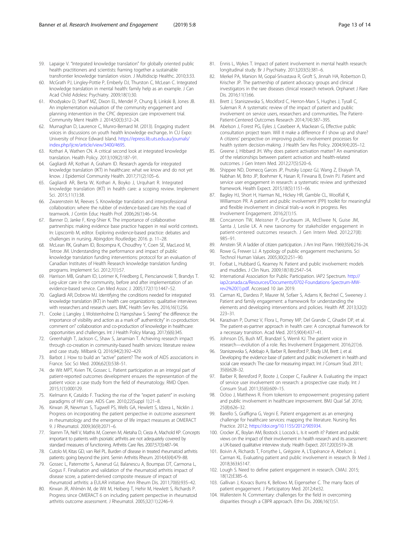- <span id="page-12-0"></span>59. Lapaige V. "Integrated knowledge translation" for globally oriented public health practitioners and scientists: framing together a sustainable transfrontier knowledge translation vision. J Multidiscip Healthc. 2010;3:33.
- 60. McGrath PJ, Lingley-Pottie P, Emberly DJ, Thurston C, McLean C. Integrated knowledge translation in mental health: family help as an example. J Can Acad Child Adolesc Psychiatry. 2009;18(1):30.
- 61. Khodyakov D, Sharif MZ, Dixon EL, Mendel P, Chung B, Linkski B, Jones JB. An implementation evaluation of the community engagement and planning intervention in the CPIC depression care improvement trial. Community Ment Health J. 2014;50(3):312–24.
- 62. Murnaghan D, Laurence C, Munro-Bernard M. (2013). Engaging student voices in discussions on youth health knowledge exchange. In CU Expo: University of Prince Edward Island. [https://epress.lib.uts.edu.au/journals/](https://epress.lib.uts.edu.au/journals/index.php/ijcre/article/view/3400/4695) [index.php/ijcre/article/view/3400/4695](https://epress.lib.uts.edu.au/journals/index.php/ijcre/article/view/3400/4695).
- 63. Kothari A, Wathen CN. A critical second look at integrated knowledge translation. Health Policy. 2013;109(2):187–91.
- 64. Gagliardi AR, Kothari A, Graham ID. Research agenda for integrated knowledge translation (IKT) in healthcare: what we know and do not yet know. J Epidemiol Community Health. 2017;71(2):105–6.
- 65. Gagliardi AR, Berta W, Kothari A, Boyko J, Urquhart R. Integrated knowledge translation (IKT) in health care: a scoping review. Implement Sci. 2015;11(1):38.
- 66. Zwarenstein M, Reeves S. Knowledge translation and interprofessional collaboration: where the rubber of evidence-based care hits the road of teamwork. J Contin Educ Health Prof. 2006;26(1):46–54.
- 67. Banner D, Janke F, King-Shier K. The importance of collaborative partnerships: making evidence base practice happen in real world contexts. In: Lipscomb M, editor. Exploring evidence-based practice: debates and challenges in nursing. Abingdon: Routledge; 2016. p. 11–28.
- 68. McLean RK, Graham ID, Bosompra K, Choudhry Y, Coen SE, MacLeod M, Tetroe JM. Understanding the performance and impact of public knowledge translation funding interventions: protocol for an evaluation of Canadian Institutes of Health Research knowledge translation funding programs. Implement Sci. 2012;7(1):57.
- 69. Harrison MB, Graham ID, Lorimer K, Friedberg E, Pierscianowski T, Brandys T. Leg-ulcer care in the community, before and after implementation of an evidence-based service. Can Med Assoc J. 2005;172(11):1447–52.
- 70. Gagliardi AR, Dobrow MJ. Identifying the conditions needed for integrated knowledge translation (IKT) in health care organizations: qualitative interviews with researchers and research users. BMC Health Serv Res. 2016;16(1):256.
- 71. Cooke J, Langley J, Wolstenholme D, Hampshaw S. Seeing" the difference: the importance of visibility and action as a mark of" authenticity" in co-production: comment on" collaboration and co-production of knowledge in healthcare: opportunities and challenges. Int J Health Policy Manag. 2017;6(6):345.
- 72. Greenhalgh T, Jackson C, Shaw S, Janamian T. Achieving research impact through co-creation in community-based health services: literature review and case study. Milbank Q. 2016;94(2):392–429.
- 73. Barbot J. How to build an "active" patient? The work of AIDS associations in France. Soc Sci Med. 2006;62(3):538–51.
- 74. de Wit MPT, Kvien TK, Gossec L. Patient participation as an integral part of patient-reported outcomes development ensures the representation of the patient voice: a case study from the field of rheumatology. RMD Open. 2015;1(1):000129.
- 75. Kielmann K, Cataldo F. Tracking the rise of the "expert patient" in evolving paradigms of HIV care. AIDS Care. 2010;22(Suppl 1):21–8.
- 76. Kirwan JR, Newman S, Tugwell PS, Wells GA, Hewlett S, Idzera L, Nicklin J. Progress on incorporating the patient perspective in outcome assessment in rheumatology and the emergence of life impact measures at OMERACT 9. J Rheumatol. 2009;36(9):2071–6.
- 77. Stamm TA, Nell V, Mathis M, Coenen M, Aletaha D, Cieza A, Machold KP. Concepts important to patients with psoriatic arthritis are not adequately covered by standard measures of functioning. Arthritis Care Res. 2007:57(3):487-94.
- 78. Cutolo M, Kitas GD, van Riel PL. Burden of disease in treated rheumatoid arthritis patients: going beyond the joint. Semin Arthritis Rheum. 2014;43(4):479–88.
- 79. Gossec L, Paternotte S, Aanerud GJ, Balanescu A, Boumpas DT, Carmona L, Gogus F. Finalisation and validation of the rheumatoid arthritis impact of disease score, a patient-derived composite measure of impact of rheumatoid arthritis: a EULAR initiative. Ann Rheum Dis. 2011;70(6):935–42.
- 80. Kirwan JR, Ahlmén M, de Wit M, Heiberg T, Hehir M, Hewlett S, Richards P. Progress since OMERACT 6 on including patient perspective in rheumatoid arthritis outcome assessment. J Rheumatol. 2005;32(11):2246–9.
- 81. Ennis L, Wykes T. Impact of patient involvement in mental health research: longitudinal study. Br J Psychiatry. 2013;203(5):381–6.
- 82. Merkel PA, Manion M, Gopal-Srivastava R, Groft S, Jinnah HA, Robertson D, Krischer JP. The partnership of patient advocacy groups and clinical investigators in the rare diseases clinical research network. Orphanet J Rare Dis. 2016;11(1):66.
- Brett J, Staniszewska S, Mockford C, Herron-Marx S, Hughes J, Tysall C, Suleman R. A systematic review of the impact of patient and public involvement on service users, researchers and communities. The Patient-Patient-Centered Outcomes Research 2014;7(4):387–395.
- 84. Abelson J, Forest PG, Eyles J, Casebeer A, Mackean G, Effective public consultation project team. Will it make a difference if I show up and share? A citizens' perspective on improving public involvement processes for health system decision-making. J Health Serv Res Policy. 2004;9(4):205–12.
- 85. Greene J, Hibbard JH. Why does patient activation matter? An examination of the relationships between patient activation and health-related outcomes. J Gen Intern Med. 2012;27(5):520–6.
- 86. Shippee ND, Domecq Garces JP, Prutsky Lopez GJ, Wang Z, Elraiyah TA, Nabhan M, Brito JP, Boehmer K, Hasan R, Firwana B, Erwin PJ. Patient and service user engagement in research: a systematic review and synthesized framework. Health Expect. 2015;18(5):1151–66.
- 87. Bagley HJ, Short H, Harman NL, Hickey HR, Gamble CL, Woolfall K, Williamson PR. A patient and public involvement (PPI) toolkit for meaningful and flexible involvement in clinical trials–a work in progress. Res Involvement Engagement. 2016;2(1):15.
- 88. Concannon TW, Meissner P, Grunbaum JA, McElwee N, Guise JM, Santa J, Leslie LK. A new taxonomy for stakeholder engagement in patient-centered outcomes research. J Gen Intern Med. 2012;27(8): 985–91.
- 89. Arnstein SR. A ladder of citizen participation. J Am Inst Plann. 1969;35(4):216–24.
- 90. Rowe G, Frewer LJ. A typology of public engagement mechanisms. Sci Technol Human Values. 2005;30(2):251–90.
- 91. Forbat L, Hubbard G, Kearney N. Patient and public involvement: models and muddles. J Clin Nurs. 2009;18(18):2547–54.
- 92. International Association for Public Participation. IAP2 Spectrum. [http://](http://iap2canada.ca/Resources/Documents/0702-Foundations-Spectrum-MW-rev2%20(1).pdf) [iap2canada.ca/Resources/Documents/0702-Foundations-Spectrum-MW](http://iap2canada.ca/Resources/Documents/0702-Foundations-Spectrum-MW-rev2%20(1).pdf)[rev2%20\(1\).pdf.](http://iap2canada.ca/Resources/Documents/0702-Foundations-Spectrum-MW-rev2%20(1).pdf) Accessed 10 Jan 2019.
- 93. Carman KL, Dardess P, Maurer M, Sofaer S, Adams K, Bechtel C, Sweeney J. Patient and family engagement: a framework for understanding the elements and developing interventions and policies. Health Aff. 2013;32(2): 223–31.
- 94. Karazivan P, Dumez V, Flora L, Pomey MP, Del Grande C, Ghadiri DP, et al. The patient-as-partner approach in health care: A conceptual framework for a necessary transition. Acad Med. 2015;90(4):437–41.
- 95. Johnson DS, Bush MT, Brandzel S, Wernli KJ. The patient voice in research—evolution of a role. Res Involvement Engagement. 2016;2(1):6.
- 96. Staniszewska S, Adebajo A, Barber R, Beresford P, Brady LM, Brett J, et al. Developing the evidence base of patient and public involvement in health and social care research: The case for measuring impact. Int J Consum Stud. 2011; 35(6):628–32.
- 97. Barber R, Beresford P, Boote J, Cooper C, Faulkner A. Evaluating the impact of service user involvement on research: a prospective case study. Int J Consum Stud. 2011;35(6):609–15.
- 98. Ocloo J, Matthews R. From tokenism to empowerment: progressing patient and public involvement in healthcare improvement. BMJ Qual Saf. 2016; 25(8):626–32.
- 99. Barello S, Graffigna G, Vegni E. Patient engagement as an emerging challenge for healthcare services: mapping the literature. Nursing Res Practice. 2012; [https://doi.org/10.1155/2012/905934.](https://doi.org/10.1155/2012/905934)
- 100. Crocker JC, Boylan AM, Bostock J, Locock L. Is it worth it? Patient and public views on the impact of their involvement in health research and its assessment: a UK-based qualitative interview study. Health Expect. 2017;20(3):519–28.
- 101. Boivin A, Richards T, Forsythe L, Grégoire A, L'Espérance A, Abelson J, Carman KL. Evaluating patient and public involvement in research. Br Med J. 2018;363:k5147.
- 102. Lough S. Need to define patient engagement in research. CMAJ. 2015; 18(12):E385–6.
- 103. Gallivan J, Kovacs Burns K, Bellows M, Eigenseher C. The many faces of patient engagement. J Participatory Med. 2012;4:e32.
- 104. Wallerstein N. Commentary: challenges for the field in overcoming disparities through a CBPR approach. Ethn Dis. 2006;16(1):S1.